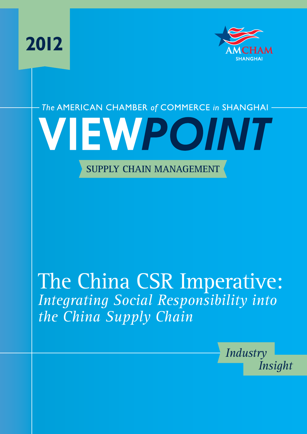



The AMERICAN CHAMBER of COMMERCE in SHANGHAI VIEWPOINT

### **SUPPLY CHAIN MANAGEMENT**

## The China CSR Imperative: *Integrating Social Responsibility into the China Supply Chain*

*Industry Insight*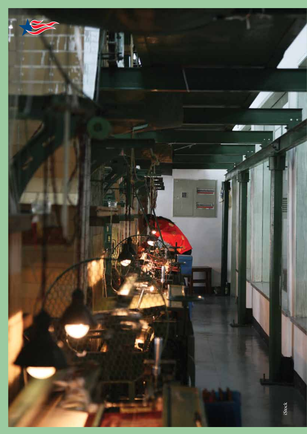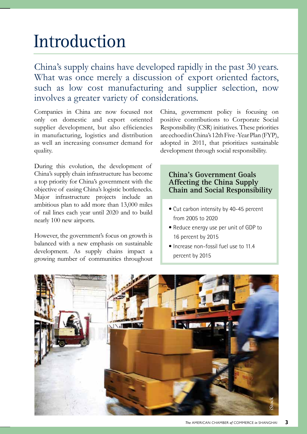# Introduction

China's supply chains have developed rapidly in the past 30 years. What was once merely a discussion of export oriented factors, such as low cost manufacturing and supplier selection, now involves a greater variety of considerations.

Companies in China are now focused not only on domestic and export oriented supplier development, but also efficiencies in manufacturing, logistics and distribution as well an increasing consumer demand for quality.

During this evolution, the development of China's supply chain infrastructure has become a top priority for China's government with the objective of easing China's logistic bottlenecks. Major infrastructure projects include an ambitious plan to add more than 13,000 miles of rail lines each year until 2020 and to build nearly 100 new airports.

However, the government's focus on growth is balanced with a new emphasis on sustainable development. As supply chains impact a growing number of communities throughout China, government policy is focusing on positive contributions to Corporate Social Responsibility (CSR) initiatives. These priorities are echoed in China's 12th Five -Year Plan (FYP), adopted in 2011, that prioritizes sustainable development through social responsibility.

### **China's Government Goals Affecting the China Supply Chain and Social Responsibility**

- Cut carbon intensity by 40-45 percent from 2005 to 2020
- Reduce energy use per unit of GDP to 16 percent by 2015
- Increase non-fossil fuel use to 11.4 percent by 2015

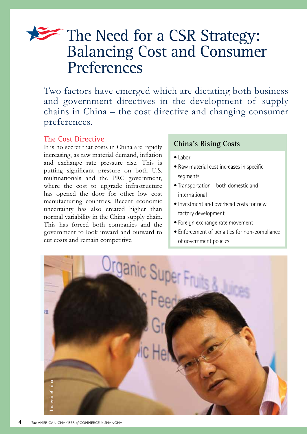# The Need for a CSR Strategy: Balancing Cost and Consumer Preferences

Two factors have emerged which are dictating both business and government directives in the development of supply chains in China – the cost directive and changing consumer preferences.

### The Cost Directive

It is no secret that costs in China are rapidly increasing, as raw material demand, inflation and exchange rate pressure rise. This is putting significant pressure on both U.S. multinationals and the PRC government, where the cost to upgrade infrastructure has opened the door for other low cost manufacturing countries. Recent economic uncertainty has also created higher than normal variability in the China supply chain. This has forced both companies and the government to look inward and outward to cut costs and remain competitive.

### **China's Rising Costs**

- $\bullet$  Labor
- Raw material cost increases in specific segments
- Transportation both domestic and international
- Investment and overhead costs for new factory development
- Foreign exchange rate movement
- Enforcement of penalties for non-compliance of government policies

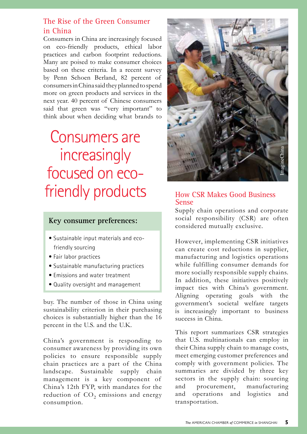### The Rise of the Green Consumer in China

Consumers in China are increasingly focused on eco-friendly products, ethical labor practices and carbon footprint reductions. Many are poised to make consumer choices based on these criteria. In a recent survey by Penn Schoen Berland, 82 percent of consumers in China said they planned to spend more on green products and services in the next year. 40 percent of Chinese consumers said that green was "very important" to think about when deciding what brands to

## Consumers are increasingly focused on ecofriendly products How CSR Makes Good Business

### **Key consumer preferences:**

- Sustainable input materials and eco friendly sourcing
- Fair labor practices
- Sustainable manufacturing practices
- Emissions and water treatment
- Quality oversight and management

buy. The number of those in China using sustainability criterion in their purchasing choices is substantially higher than the 16 percent in the U.S. and the U.K.

China's government is responding to consumer awareness by providing its own policies to ensure responsible supply chain practices are a part of the China landscape. Sustainable supply chain management is a key component of China's 12th FYP, with mandates for the reduction of  $CO<sub>2</sub>$  emissions and energy consumption.



## Sense

Supply chain operations and corporate social responsibility (CSR) are often considered mutually exclusive.

However, implementing CSR initiatives can create cost reductions in supplier, manufacturing and logistics operations while fulfilling consumer demands for more socially responsible supply chains. In addition, these initiatives positively impact ties with China's government. Aligning operating goals with the government's societal welfare targets is increasingly important to business success in China. **THE AMERICAN CHAMBER** *T***COMMERCE** *in* **SHANGHAI production.**<br> **Theorem Side CHAMBER (CSR)** are often sidered mutually exclusive.<br>
wever, implementing CSR initiatives create cost reductions in supplier, unfacturing and logi

This report summarizes CSR strategies that U.S. multinationals can employ in their China supply chain to manage costs, meet emerging customer preferences and comply with government policies. The summaries are divided by three key sectors in the supply chain: sourcing and procurement, manufacturing and operations and logistics and transportation.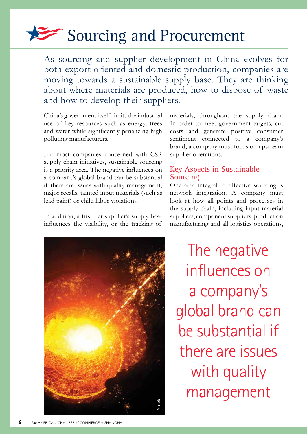# Sourcing and Procurement

Integration and supplier development in China evolves for<br>Export oriented and domestic production, companies are about where materials are produced, how to dispose of waste and how to develop their suppliers. As sourcing and supplier development in China evolves for both export oriented and domestic production, companies are moving towards a sustainable supply base. They are thinking

polluting manufacturers. normal exportancement and material distributions, allocated use of key resources such as energy, trees In order to meet govern and water while significantly penalizing high

For most companies concerned with CSR supply chain initiatives, sustainable sourcing is a priority area. The negative influences on a company's global brand can be substantial major recalls, tainted input materials (such as lead paint) or child labor violations. if there are issues with quality management,

In addition, a first tier supplier's supply base influences the visibility, or the tracking of

sentiment connected to a company's brand, a company must focus on upstream supplier operations. China's government itself limits the industrial materials, throughout the supply chain materials, throughout the supply chain. In order to meet government targets, cut costs and generate positive consumer

### Key Aspects in Sustainable Sourcing sustainable development to ensure the sustainable development of  $\mathcal{S}$

One area integral to effective sourcing is network integration. A company must look at how all points and processes in the supply chain, including input material suppliers, component suppliers, production manufacturing and all logistics operations,



The negative influences on a company's global brand can be substantial if there are issues with quality management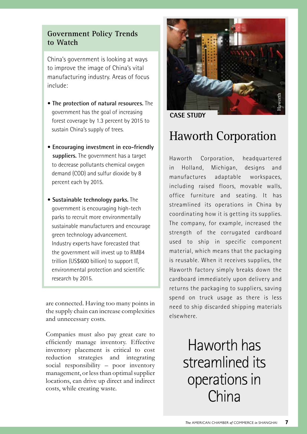### **Government Policy Trends to Watch**

China's government is looking at ways to improve the image of China's vital manufacturing industry. Areas of focus include:

- **The protection of natural resources.** The government has the goal of increasing forest coverage by 1.3 percent by 2015 to sustain China's supply of trees.
- **Encouraging investment in eco-friendly suppliers.** The government has a target to decrease pollutants chemical oxygen demand (COD) and sulfur dioxide by 8 percent each by 2015.
- **Sustainable technology parks.** The government is encouraging high-tech parks to recruit more environmentally sustainable manufacturers and encourage green technology advancement. Industry experts have forecasted that the government will invest up to RMB4 trillion (US\$600 billion) to support IT, environmental protection and scientific research by 2015.

are connected. Having too many points in the supply chain can increase complexities and unnecessary costs.

Companies must also pay great care to efficiently manage inventory. Effective inventory placement is critical to cost reduction strategies and integrating social responsibility – poor inventory management, or less than optimal supplier locations, can drive up direct and indirect costs, while creating waste.



**CASE STUDY**

## Haworth Corporation

Haworth Corporation, headquartered in Holland, Michigan, designs and manufactures adaptable workspaces, including raised floors, movable walls, office furniture and seating. It has streamlined its operations in China by coordinating how it is getting its supplies. The company, for example, increased the strength of the corrugated cardboard used to ship in specific component material, which means that the packaging is reusable. When it receives supplies, the Haworth factory simply breaks down the cardboard immediately upon delivery and returns the packaging to suppliers, saving spend on truck usage as there is less need to ship discarded shipping materials elsewhere. **STUDY**<br>
The Corporation, headquartered<br>
olland, Michigan, designs and<br>
factures adaptable workspaces,<br>
ing raised floors, movable walls,<br>
furniture and seating. It has<br>
initiated its operations in China by<br>
inating how it

Haworth has streamlined its operations in China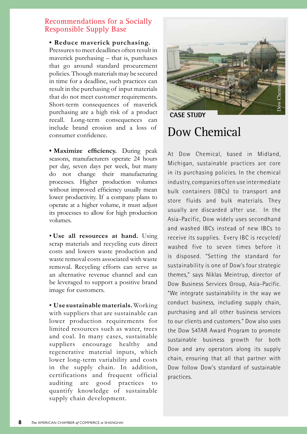### Recommendations for a Socially Responsible Supply Base

#### **• Reduce maverick purchasing.**

Pressures to meet deadlines often result in maverick purchasing – that is, purchases that go around standard procurement policies. Though materials may be secured in time for a deadline, such practices can result in the purchasing of input materials that do not meet customer requirements. Short-term consequences of maverick purchasing are a high risk of a product recall. Long-term consequences can include brand erosion and a loss of consumer confidence.

**• Maximize efficiency.** During peak seasons, manufacturers operate 24 hours per day, seven days per week, but many do not change their manufacturing processes. Higher production volumes without improved efficiency usually mean lower productivity. If a company plans to operate at a higher volume, it must adjust its processes to allow for high production volumes.

• **Use all resources at hand.** Using scrap materials and recycling cuts direct costs and lowers waste production and waste removal costs associated with waste removal. Recycling efforts can serve as an alternative revenue channel and can be leveraged to support a positive brand image for customers.

• **Use sustainable materials.** Working with suppliers that are sustainable can lower production requirements for limited resources such as water, trees and coal. In many cases, sustainable suppliers encourage healthy and regenerative material inputs, which lower long-term variability and costs in the supply chain. In addition, certifications and frequent official auditing are good practices to quantify knowledge of sustainable supply chain development.



**CASE STUDY**

## Dow Chemical

At Dow Chemical, based in Midland, Michigan, sustainable practices are core in its purchasing policies. In the chemical industry, companies often use intermediate bulk containers (IBCs) to transport and store fluids and bulk materials. They usually are discarded after use. In the Asia-Pacific, Dow widely uses secondhand and washed IBCs instead of new IBCs to receive its supplies. Every IBC is recycled/ washed five to seven times before it is disposed. "Setting the standard for sustainability is one of Dow's four strategic themes," says Niklas Meintrup, director of Dow Business Services Group, Asia-Pacific. "We integrate sustainability in the way we conduct business, including supply chain, purchasing and all other business services to our clients and customers." Dow also uses the Dow S4TAR Award Program to promote sustainable business growth for both Dow and any operators along its supply chain, ensuring that all that partner with Dow follow Dow's standard of sustainable practices.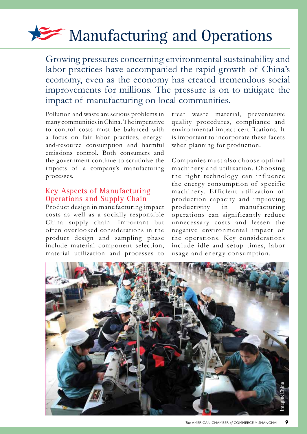## Manufacturing and Operations

Growing pressures concerning environmental sustainability and labor practices have accompanied the rapid growth of China's economy, even as the economy has created tremendous social improvements for millions. The pressure is on to mitigate the impact of manufacturing on local communities.

Pollution and waste are serious problems in many communities in China. The imperative to control costs must be balanced with a focus on fair labor practices, energyand-resource consumption and harmful emissions control. Both consumers and the government continue to scrutinize the impacts of a company's manufacturing processes.

### Key Aspects of Manufacturing Operations and Supply Chain

Product design in manufacturing impact costs as well as a socially responsible China supply chain. Important but often overlooked considerations in the product design and sampling phase include material component selection, material utilization and processes to

treat waste material, preventative quality procedures, compliance and environmental impact certifications. It is important to incorporate these facets when planning for production.

Companies must also choose optimal machinery and utilization. Choosing the right technology can influence the energy consumption of specific machinery. Efficient utilization of production capacity and improving productivity in manufacturing operations can significantly reduce unnecessary costs and lessen the negative environmental impact of the operations. Key considerations include idle and setup times, labor usage and energy consumption.

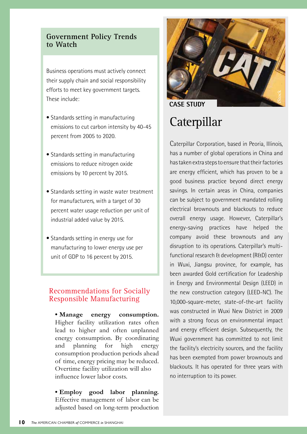### **Government Policy Trends to Watch**

Business operations must actively connect their supply chain and social responsibility efforts to meet key government targets. These include:

- Standards setting in manufacturing emissions to cut carbon intensity by 40-45 percent from 2005 to 2020.
- Standards setting in manufacturing emissions to reduce nitrogen oxide emissions by 10 percent by 2015.
- Standards setting in waste water treatment for manufacturers, with a target of 30 percent water usage reduction per unit of industrial added value by 2015.
- Standards setting in energy use for manufacturing to lower energy use per unit of GDP to 16 percent by 2015.

### Recommendations for Socially Responsible Manufacturing

**• Manage energy consumption.**  Higher facility utilization rates often lead to higher and often unplanned energy consumption. By coordinating and planning for high energy consumption production periods ahead of time, energy pricing may be reduced. Overtime facility utilization will also influence lower labor costs.

**• Employ good labor planning.** Effective management of labor can be adjusted based on long-term production



**Caterpillar** 

Companies are now focused not only Caterpillar Corporation, based in Peoria, Illinois, has a number of global operations in China and has taken extra steps to ensure that their factories are energy efficient, which has proven to be a good business practice beyond direct energy savings. In certain areas in China, companies can be subject to government mandated rolling electrical brownouts and blackouts to reduce overall energy usage. However, Caterpillar's  $\frac{1}{2}$  with the objective of  $\frac{1}{2}$  and  $\frac{1}{2}$  logistics of  $\frac{1}{2}$  logistics of  $\frac{1}{2}$ energy-saving practices have helped the company avoid these brownouts and any disruption to its operations. Caterpillar's multifunctional research & development (R&D) center in Wuxi, Jiangsu province, for example, has  $\frac{1}{2}$ on sustainable development to ensure been awarded Gold certification for Leadership in Energy and Environmental Design (LEED) in the new construction category (LEED-NC). The 10,000-square-meter, state-of-the-art facility was constructed in Wuxi New District in 2009  $f(x)$  is chosen focus on positions and import with a strong focus on environmental impact and energy efficient design. Subsequently, the Wuxi government has committed to not limit the facility's electricity sources, and the facility has been exempted from power brownouts and blackouts. It has operated for three years with no interruption to its power.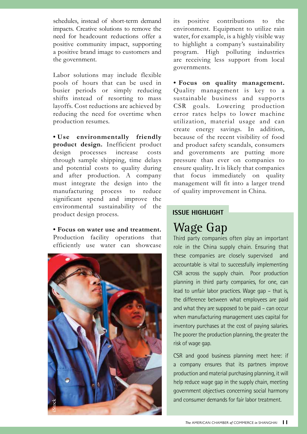schedules, instead of short-term demand impacts. Creative solutions to remove the need for headcount reductions offer a positive community impact, supporting a positive brand image to customers and the government.

Labor solutions may include flexible pools of hours that can be used in busier periods or simply reducing shifts instead of resorting to mass layoffs. Cost reductions are achieved by reducing the need for overtime when production resumes.

**• Use environmentally friendly product design.** Inefficient product design processes increase costs through sample shipping, time delays and potential costs to quality during and after production. A company must integrate the design into the manufacturing process to reduce significant spend and improve the environmental sustainability of the product design process.

**• Focus on water use and treatment.**  Production facility operations that efficiently use water can showcase



its positive contributions to the environment. Equipment to utilize rain water, for example, is a highly visible way to highlight a company's sustainability program. High polluting industries are receiving less support from local governments.

**• Focus on quality management.**  Quality management is key to a sustainable business and supports CSR goals. Lowering production error rates helps to lower machine utilization, material usage and can create energy savings. In addition, because of the recent visibility of food and product safety scandals, consumers and governments are putting more pressure than ever on companies to ensure quality**.** It is likely that companies that focus immediately on quality management will fit into a larger trend of quality improvement in China.

### Wage Gap **ISSUE HIGHLIGHT**

Third party companies often play an important role in the China supply chain. Ensuring that these companies are closely supervised and accountable is vital to successfully implementing CSR across the supply chain. Poor production planning in third party companies, for one, can lead to unfair labor practices. Wage gap – that is, the difference between what employees are paid and what they are supposed to be paid – can occur when manufacturing management uses capital for inventory purchases at the cost of paying salaries. The poorer the production planning, the greater the risk of wage gap.

CSR and good business planning meet here: if a company ensures that its partners improve production and material purchasing planning, it will help reduce wage gap in the supply chain, meeting government objectives concerning social harmony and consumer demands for fair labor treatment.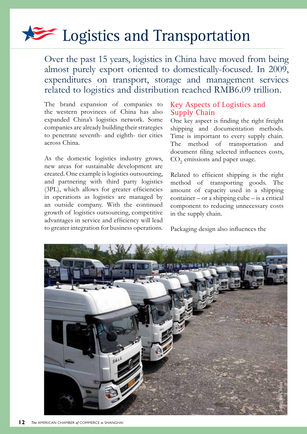# Logistics and Transportation

Over the past 15 years, logistics in China have moved from being almost purely export oriented to domestically-focused. In 2009, expenditures on transport, storage and management services related to logistics and distribution reached RMB6.09 trillion.

The brand expansion of companies to the western provinces of China has also expanded China's logistics network. Some companies are already building their strategies to penetrate seventh- and eighth- tier cities across China.

As the domestic logistics industry grows, new areas for sustainable development are created. One example is logistics outsourcing, and partnering with third party logistics (3PL), which allows for greater efficiencies in operations as logistics are managed by an outside company. With the continued growth of logistics outsourcing, competitive advantages in service and efficiency will lead to greater integration for business operations.

### Key Aspects of Logistics and Supply Chain

One key aspect is finding the right freight shipping and documentation methods. Time is important to every supply chain. The method of transportation and document filing selected influences costs,  $CO<sub>2</sub>$  emissions and paper usage.

Related to efficient shipping is the right method of transporting goods. The amount of capacity used in a shipping container – or a shipping cube – is a critical component to reducing unnecessary costs in the supply chain.

Packaging design also influences the

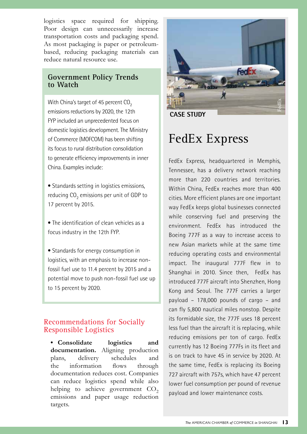logistics space required for shipping. Poor design can unnecessarily increase transportation costs and packaging spend. As most packaging is paper or petroleumbased, reducing packaging materials can reduce natural resource use.

### **Government Policy Trends to Watch**

With China's target of 45 percent  $CO<sub>2</sub>$ emissions reductions by 2020, the 12th FYP included an unprecedented focus on domestic logistics development. The Ministry of Commerce (MOFCOM) has been shifting its focus to rural distribution consolidation to generate efficiency improvements in inner China. Examples include:

• Standards setting in logistics emissions, reducing  $\mathrm{CO}_2$  emissions per unit of GDP to 17 percent by 2015.

• The identification of clean vehicles as a focus industry in the 12th FYP.

• Standards for energy consumption in logistics, with an emphasis to increase nonfossil fuel use to 11.4 percent by 2015 and a potential move to push non-fossil fuel use up to 15 percent by 2020.

### Recommendations for Socially Responsible Logistics

**• Consolidate logistics and documentation.** Aligning production plans, delivery schedules and the information flows through documentation reduces cost. Companies can reduce logistics spend while also helping to achieve government  $CO<sub>2</sub>$ emissions and paper usage reduction targets.



**CASE STUDY**

## FedEx Express

FedEx Express, headquartered in Memphis, Tennessee, has a delivery network reaching more than 220 countries and territories. Within China, FedEx reaches more than 400 cities. More efficient planes are one important way FedEx keeps global businesses connected while conserving fuel and preserving the environment. FedEx has introduced the Boeing 777F as a way to increase access to new Asian markets while at the same time reducing operating costs and environmental impact. The inaugural 777F flew in to Shanghai in 2010. Since then, FedEx has introduced 777F aircraft into Shenzhen, Hong Kong and Seoul. The 777F carries a larger payload – 178,000 pounds of cargo – and can fly 5,800 nautical miles nonstop. Despite its formidable size, the 777F uses 18 percent less fuel than the aircraft it is replacing, while reducing emissions per ton of cargo. FedEx currently has 12 Boeing 777Fs in its fleet and is on track to have 45 in service by 2020. At the same time, FedEx is replacing its Boeing 727 aircraft with 757s, which have 47 percent lower fuel consumption per pound of revenue payload and lower maintenance costs. **THEXT CHAMERICAN CHAMBER CONGRAGE CHAMBER CHAMBER (THAMBER CHAMBER CHAMBER (THAMBER CHAMBER CHAMBER (THAMBER CHAMBER CHAMBER CHAMBER CHAMBER (THAMBER CHAMBER CHAMBER CHAMBER CHAMBER CHAMBER CHAMBER CHAMBER CHAMBER CHAMBER**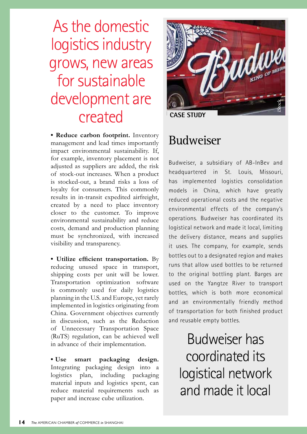## As the domestic logistics industry grows, new areas for sustainable development are created

**• Reduce carbon footprint.** Inventory management and lead times importantly impact environmental sustainability. If, for example, inventory placement is not adjusted as suppliers are added, the risk of stock-out increases. When a product is stocked-out, a brand risks a loss of loyalty for consumers. This commonly results in in-transit expedited airfreight, created by a need to place inventory closer to the customer. To improve environmental sustainability and reduce costs, demand and production planning must be synchronized, with increased visibility and transparency.

**• Utilize efficient transportation.** By reducing unused space in transport, shipping costs per unit will be lower. Transportation optimization software is commonly used for daily logistics planning in the U.S. and Europe, yet rarely implemented in logistics originating from China. Government objectives currently in discussion, such as the Reduction of Unnecessary Transportation Space (RuTS) regulation, can be achieved well in advance of their implementation.

**• Use smart packaging design.**  Integrating packaging design into a logistics plan, including packaging material inputs and logistics spent, can reduce material requirements such as paper and increase cube utilization.



**CASE STUDY**

## Budweiser

Budweiser, a subsidiary of AB-InBev and headquartered in St. Louis, Missouri, has implemented logistics consolidation models in China, which have greatly reduced operational costs and the negative environmental effects of the company's operations. Budweiser has coordinated its logistical network and made it local, limiting the delivery distance, means and supplies it uses. The company, for example, sends bottles out to a designated region and makes runs that allow used bottles to be returned to the original bottling plant. Barges are used on the Yangtze River to transport bottles, which is both more economical and an environmentally friendly method of transportation for both finished product and reusable empty bottles.

Budweiser has coordinated its logistical network and made it local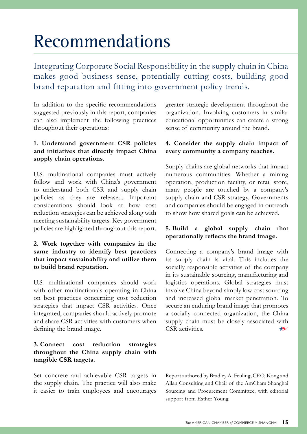# Recommendations

Integrating Corporate Social Responsibility in the supply chain in China makes good business sense, potentially cutting costs, building good brand reputation and fitting into government policy trends.

In addition to the specific recommendations suggested previously in this report, companies can also implement the following practices throughout their operations:

#### **1. Understand government CSR policies and initiatives that directly impact China supply chain operations.**

U.S. multinational companies must actively follow and work with China's government to understand both CSR and supply chain policies as they are released. Important considerations should look at how cost reduction strategies can be achieved along with meeting sustainability targets. Key government policies are highlighted throughout this report.

#### **2. Work together with companies in the same industry to identify best practices that impact sustainability and utilize them to build brand reputation.**

U.S. multinational companies should work with other multinationals operating in China on best practices concerning cost reduction strategies that impact CSR activities. Once integrated, companies should actively promote and share CSR activities with customers when defining the brand image.

### **3. Connect cost reduction strategies throughout the China supply chain with tangible CSR targets.**

Set concrete and achievable CSR targets in the supply chain. The practice will also make it easier to train employees and encourages greater strategic development throughout the organization. Involving customers in similar educational opportunities can create a strong sense of community around the brand.

#### **4. Consider the supply chain impact of every community a company reaches.**

Supply chains are global networks that impact numerous communities. Whether a mining operation, production facility, or retail store, many people are touched by a company's supply chain and CSR strategy. Governments and companies should be engaged in outreach to show how shared goals can be achieved.

### **5. Build a global supply chain that operationally reflects the brand image.**

Connecting a company's brand image with its supply chain is vital. This includes the socially responsible activities of the company in its sustainable sourcing, manufacturing and logistics operations. Global strategies must involve China beyond simply low cost sourcing and increased global market penetration. To secure an enduring brand image that promotes a socially connected organization, the China supply chain must be closely associated with CSR activities.

Report authored by Bradley A. Feuling, CEO, Kong and Allan Consulting and Chair of the AmCham Shanghai Sourcing and Procurement Committee, with editorial support from Esther Young.